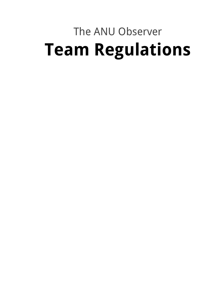# The ANU Observer **Team Regulations**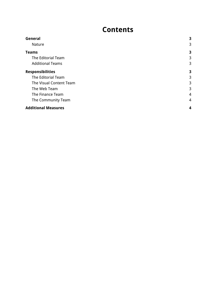## **c** ontents

| General                    | 3              |
|----------------------------|----------------|
| Nature                     | 3              |
| <b>Teams</b>               | 3              |
| The Editorial Team         | 3              |
| <b>Additional Teams</b>    | 3              |
| <b>Responsibilities</b>    | 3              |
| The Editorial Team         | 3              |
| The Visual Content Team    | 3              |
| The Web Team               | 3              |
| The Finance Team           | 4              |
| The Community Team         | $\overline{4}$ |
| <b>Additional Measures</b> | 4              |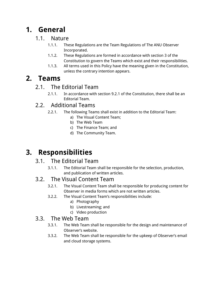# <span id="page-2-0"></span>**1. General**

#### <span id="page-2-1"></span>1.1. Nature

- 1.1.1. These Regulations are the Team Regulations of The ANU Observer Incorporated.
- 1.1.2. These Regulations are formed in accordance with section 3 of the Constitution to govern the Teams which exist and their responsibilities.
- 1.1.3. All terms used in this Policy have the meaning given in the Constitution, unless the contrary intention appears.

## <span id="page-2-3"></span><span id="page-2-2"></span>**2. Teams**

#### 2.1. The Editorial Team

2.1.1. In accordance with section 9.2.1 of the Constitution, there shall be an Editorial Team.

#### <span id="page-2-4"></span>2.2. Additional Teams

- 2.2.1. The following Teams shall exist in addition to the Editorial Team:
	- a) The Visual Content Team;
	- b) The Web Team
	- c) The Finance Team; and
	- d) The Community Team.

## <span id="page-2-5"></span>**3. Responsibilities**

#### <span id="page-2-6"></span>3.1. The Editorial Team

3.1.1. The Editorial Team shall be responsible for the selection, production, and publication of written articles.

#### <span id="page-2-7"></span>3.2. The Visual Content Team

- 3.2.1. The Visual Content Team shall be responsible for producing content for Observer in media forms which are not written articles.
- 3.2.2. The Visual Content Team's responsibilities include:
	- a) Photography
	- b) Livestreaming; and
	- c) Video production

#### <span id="page-2-8"></span>3.3. The Web Team

- 3.3.1. The Web Team shall be responsible for the design and maintenance of Observer's website.
- 3.3.2. The Web Team shall be responsible for the upkeep of Observer's email and cloud storage systems.